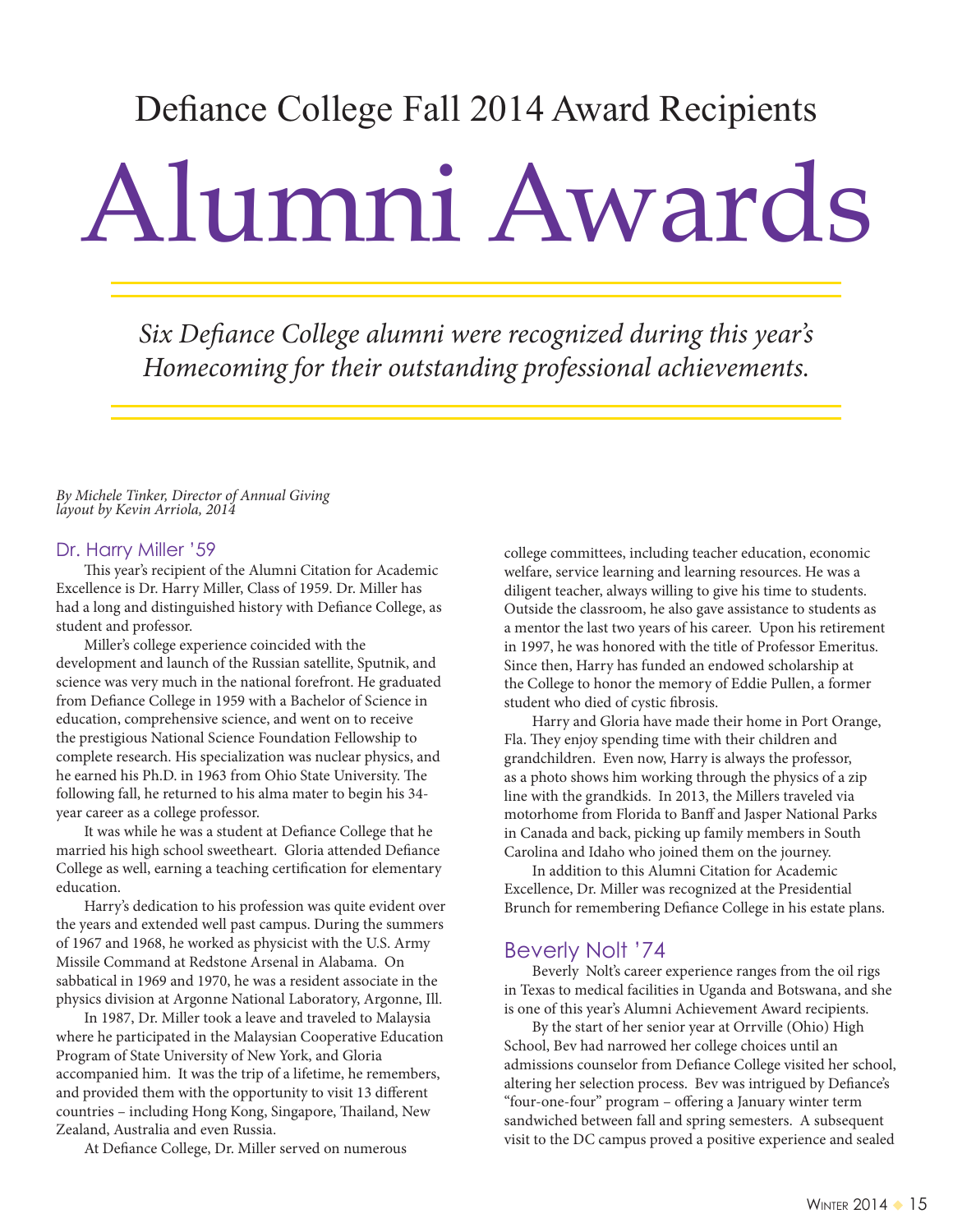## Defiance College Fall 2014 Award Recipients

# Alumni Awards

Six Defiance College alumni were recognized during this year's Homecoming for their outstanding professional achievements.

By Michele Tinker, Director of Annual Giving layout by Kevin Arriola, 2014

#### Dr. Harry Miller '59

This year's recipient of the Alumni Citation for Academic Excellence is Dr. Harry Miller, Class of 1959. Dr. Miller has had a long and distinguished history with Defiance College, as student and professor.

Miller's college experience coincided with the development and launch of the Russian satellite, Sputnik, and science was very much in the national forefront. He graduated from Defiance College in 1959 with a Bachelor of Science in education, comprehensive science, and went on to receive the prestigious National Science Foundation Fellowship to complete research. His specialization was nuclear physics, and he earned his Ph.D. in 1963 from Ohio State University. The following fall, he returned to his alma mater to begin his 34 year career as a college professor.

It was while he was a student at Defiance College that he married his high school sweetheart. Gloria attended Defiance College as well, earning a teaching certification for elementary education.

Harry's dedication to his profession was quite evident over the years and extended well past campus. During the summers of 1967 and 1968, he worked as physicist with the U.S. Army Missile Command at Redstone Arsenal in Alabama. On sabbatical in 1969 and 1970, he was a resident associate in the physics division at Argonne National Laboratory, Argonne, Ill.

In 1987, Dr. Miller took a leave and traveled to Malaysia where he participated in the Malaysian Cooperative Education Program of State University of New York, and Gloria accompanied him. It was the trip of a lifetime, he remembers, and provided them with the opportunity to visit 13 different countries – including Hong Kong, Singapore, Thailand, New Zealand, Australia and even Russia.

At Defiance College, Dr. Miller served on numerous

college committees, including teacher education, economic welfare, service learning and learning resources. He was a diligent teacher, always willing to give his time to students. Outside the classroom, he also gave assistance to students as a mentor the last two years of his career. Upon his retirement in 1997, he was honored with the title of Professor Emeritus. Since then, Harry has funded an endowed scholarship at the College to honor the memory of Eddie Pullen, a former student who died of cystic fibrosis.

Harry and Gloria have made their home in Port Orange, Fla. They enjoy spending time with their children and grandchildren. Even now, Harry is always the professor, as a photo shows him working through the physics of a zip line with the grandkids. In 2013, the Millers traveled via motorhome from Florida to Banff and Jasper National Parks in Canada and back, picking up family members in South Carolina and Idaho who joined them on the journey.

In addition to this Alumni Citation for Academic Excellence, Dr. Miller was recognized at the Presidential Brunch for remembering Defiance College in his estate plans.

#### Beverly Nolt '74

Beverly Nolt's career experience ranges from the oil rigs in Texas to medical facilities in Uganda and Botswana, and she is one of this year's Alumni Achievement Award recipients.

By the start of her senior year at Orrville (Ohio) High School, Bev had narrowed her college choices until an admissions counselor from Defiance College visited her school, altering her selection process. Bev was intrigued by Defiance's "four-one-four" program – offering a January winter term sandwiched between fall and spring semesters. A subsequent visit to the DC campus proved a positive experience and sealed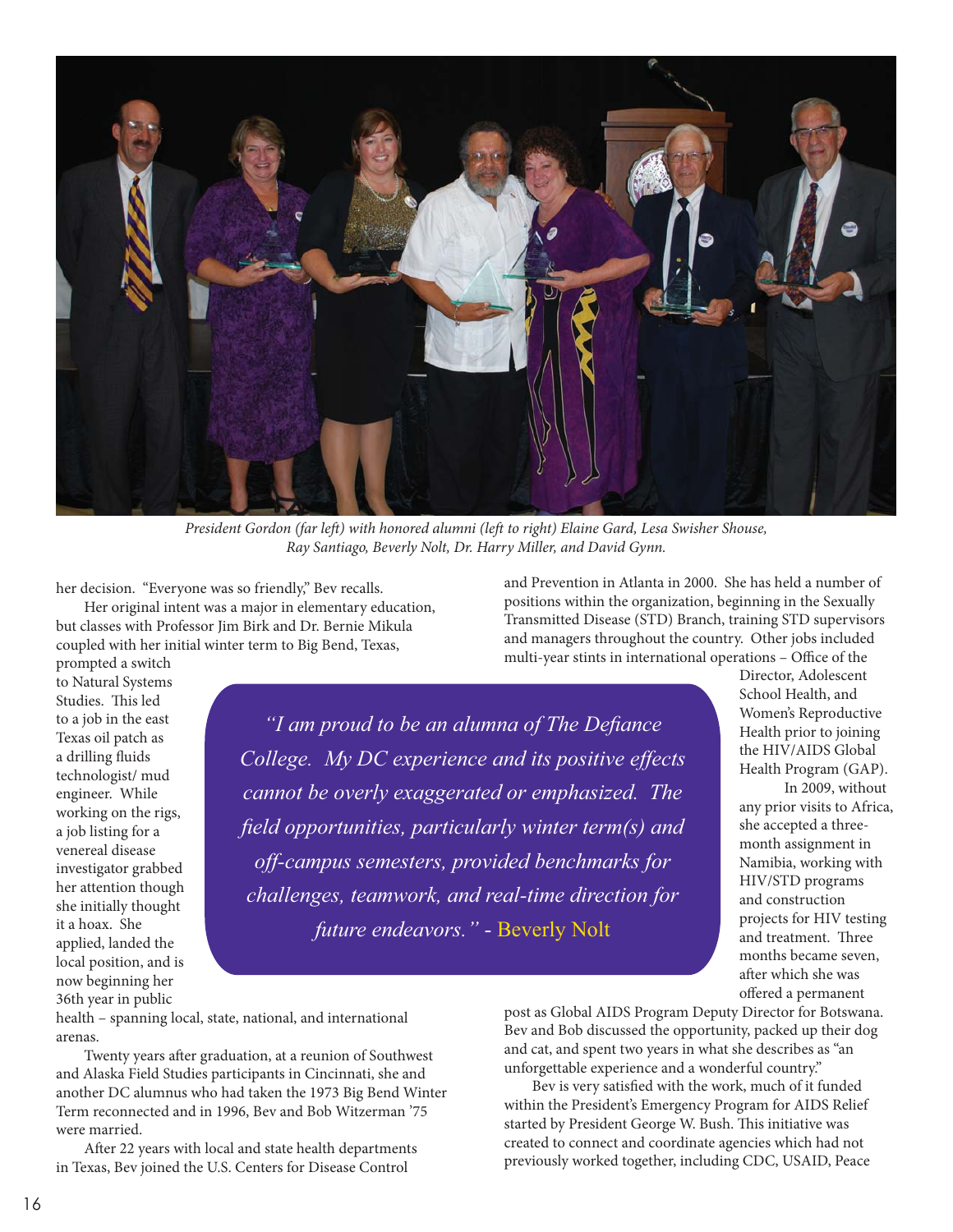

President Gordon (far left) with honored alumni (left to right) Elaine Gard, Lesa Swisher Shouse, Ray Santiago, Beverly Nolt, Dr. Harry Miller, and David Gynn.

her decision. "Everyone was so friendly," Bev recalls.

Her original intent was a major in elementary education, but classes with Professor Jim Birk and Dr. Bernie Mikula coupled with her initial winter term to Big Bend, Texas,

and Prevention in Atlanta in 2000. She has held a number of positions within the organization, beginning in the Sexually Transmitted Disease (STD) Branch, training STD supervisors and managers throughout the country. Other jobs included multi-year stints in international operations – Office of the

prompted a switch to Natural Systems Studies. This led to a job in the east Texas oil patch as a drilling fluids technologist/ mud engineer. While working on the rigs, a job listing for a venereal disease investigator grabbed her attention though she initially thought it a hoax. She applied, landed the local position, and is now beginning her 36th year in public

*all* am proud to be an alumna of The Defiance College. My DC experience and its positive effects *cannot be overly exaggerated or emphasized. The field opportunities, particularly winter term(s) and* off-campus semesters, provided benchmarks for *challenges, teamwork, and real-time direction for future endeavors.*" - Beverly Nolt

Director, Adolescent School Health, and Women's Reproductive Health prior to joining the HIV/AIDS Global Health Program (GAP).

In 2009, without any prior visits to Africa, she accepted a threemonth assignment in Namibia, working with HIV/STD programs and construction projects for HIV testing and treatment. Three months became seven, after which she was offered a permanent

health – spanning local, state, national, and international arenas.

Twenty years after graduation, at a reunion of Southwest and Alaska Field Studies participants in Cincinnati, she and another DC alumnus who had taken the 1973 Big Bend Winter Term reconnected and in 1996, Bev and Bob Witzerman '75 were married.

After 22 years with local and state health departments in Texas, Bev joined the U.S. Centers for Disease Control

post as Global AIDS Program Deputy Director for Botswana. Bev and Bob discussed the opportunity, packed up their dog and cat, and spent two years in what she describes as "an unforgettable experience and a wonderful country."

Bev is very satisfied with the work, much of it funded within the President's Emergency Program for AIDS Relief started by President George W. Bush. This initiative was created to connect and coordinate agencies which had not previously worked together, including CDC, USAID, Peace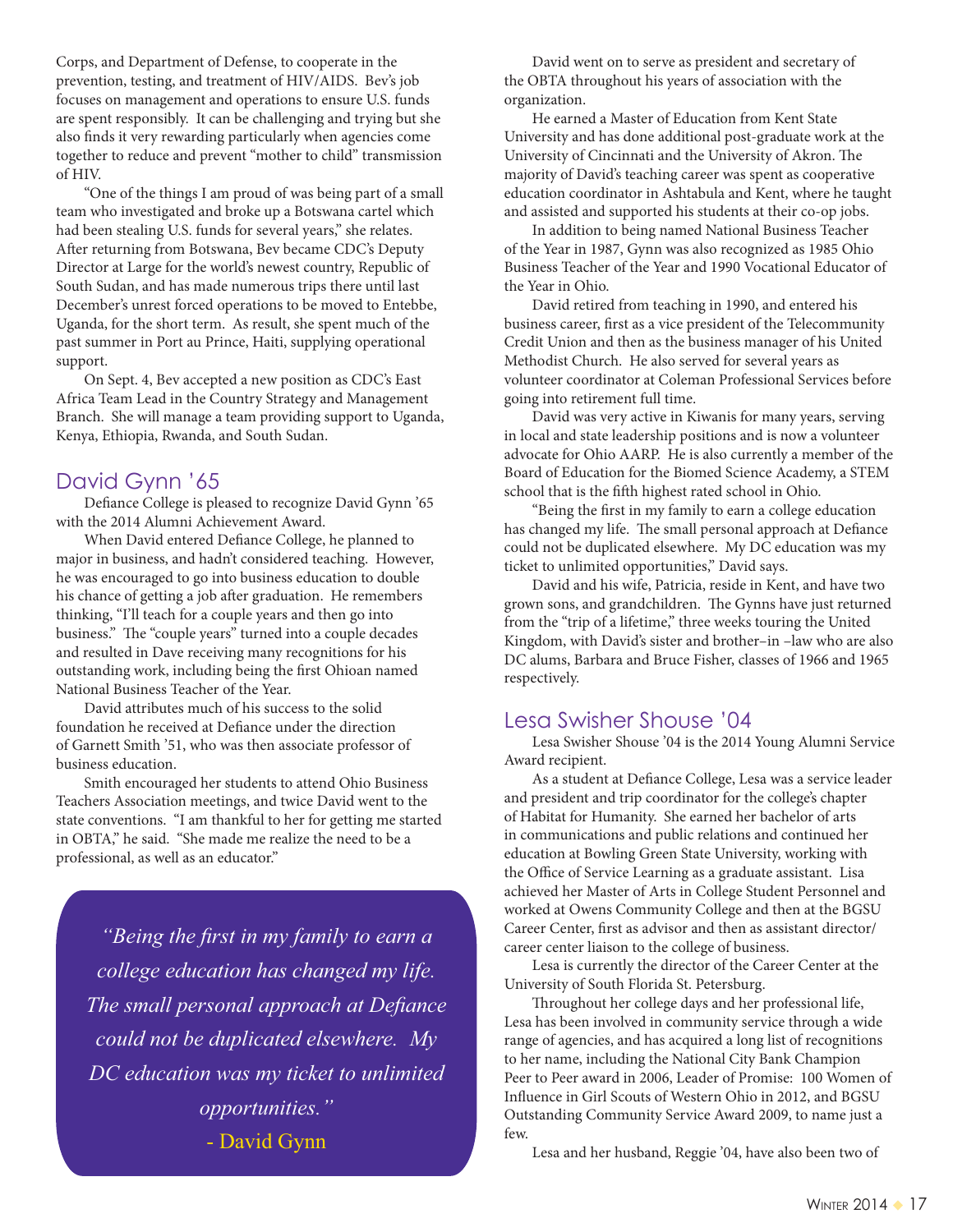Corps, and Department of Defense, to cooperate in the prevention, testing, and treatment of HIV/AIDS. Bev's job focuses on management and operations to ensure U.S. funds are spent responsibly. It can be challenging and trying but she also finds it very rewarding particularly when agencies come together to reduce and prevent "mother to child" transmission of HIV.

"One of the things I am proud of was being part of a small team who investigated and broke up a Botswana cartel which had been stealing U.S. funds for several years," she relates. After returning from Botswana, Bev became CDC's Deputy Director at Large for the world's newest country, Republic of South Sudan, and has made numerous trips there until last December's unrest forced operations to be moved to Entebbe, Uganda, for the short term. As result, she spent much of the past summer in Port au Prince, Haiti, supplying operational support.

On Sept. 4, Bev accepted a new position as CDC's East Africa Team Lead in the Country Strategy and Management Branch. She will manage a team providing support to Uganda, Kenya, Ethiopia, Rwanda, and South Sudan.

## David Gynn '65

Defiance College is pleased to recognize David Gynn '65 with the 2014 Alumni Achievement Award.

When David entered Defiance College, he planned to major in business, and hadn't considered teaching. However, he was encouraged to go into business education to double his chance of getting a job after graduation. He remembers thinking, "I'll teach for a couple years and then go into business." The "couple years" turned into a couple decades and resulted in Dave receiving many recognitions for his outstanding work, including being the first Ohioan named National Business Teacher of the Year.

David attributes much of his success to the solid foundation he received at Defiance under the direction of Garnett Smith '51, who was then associate professor of business education.

Smith encouraged her students to attend Ohio Business Teachers Association meetings, and twice David went to the state conventions. "I am thankful to her for getting me started in OBTA," he said. "She made me realize the need to be a professional, as well as an educator."

*a* "Being the first in my family to earn a *FROOHege education has changed my life. The small personal approach at Defiance could not be duplicated elsewhere. My* DC education was my ticket to unlimited *copportunities.*" - David Gynn

David went on to serve as president and secretary of the OBTA throughout his years of association with the organization.

He earned a Master of Education from Kent State University and has done additional post-graduate work at the University of Cincinnati and the University of Akron. The majority of David's teaching career was spent as cooperative education coordinator in Ashtabula and Kent, where he taught and assisted and supported his students at their co-op jobs.

In addition to being named National Business Teacher of the Year in 1987, Gynn was also recognized as 1985 Ohio Business Teacher of the Year and 1990 Vocational Educator of the Year in Ohio.

David retired from teaching in 1990, and entered his business career, first as a vice president of the Telecommunity Credit Union and then as the business manager of his United Methodist Church. He also served for several years as volunteer coordinator at Coleman Professional Services before going into retirement full time.

David was very active in Kiwanis for many years, serving in local and state leadership positions and is now a volunteer advocate for Ohio AARP. He is also currently a member of the Board of Education for the Biomed Science Academy, a STEM school that is the fifth highest rated school in Ohio.

"Being the first in my family to earn a college education has changed my life. The small personal approach at Defiance could not be duplicated elsewhere. My DC education was my ticket to unlimited opportunities," David says.

David and his wife, Patricia, reside in Kent, and have two grown sons, and grandchildren. The Gynns have just returned from the "trip of a lifetime," three weeks touring the United Kingdom, with David's sister and brother–in –law who are also DC alums, Barbara and Bruce Fisher, classes of 1966 and 1965 respectively.

### Lesa Swisher Shouse '04

Lesa Swisher Shouse '04 is the 2014 Young Alumni Service Award recipient.

As a student at Defiance College, Lesa was a service leader and president and trip coordinator for the college's chapter of Habitat for Humanity. She earned her bachelor of arts in communications and public relations and continued her education at Bowling Green State University, working with the Office of Service Learning as a graduate assistant. Lisa achieved her Master of Arts in College Student Personnel and worked at Owens Community College and then at the BGSU Career Center, first as advisor and then as assistant director/ career center liaison to the college of business.

Lesa is currently the director of the Career Center at the University of South Florida St. Petersburg.

Throughout her college days and her professional life, Lesa has been involved in community service through a wide range of agencies, and has acquired a long list of recognitions to her name, including the National City Bank Champion Peer to Peer award in 2006, Leader of Promise: 100 Women of Influence in Girl Scouts of Western Ohio in 2012, and BGSU Outstanding Community Service Award 2009, to name just a few.

Lesa and her husband, Reggie '04, have also been two of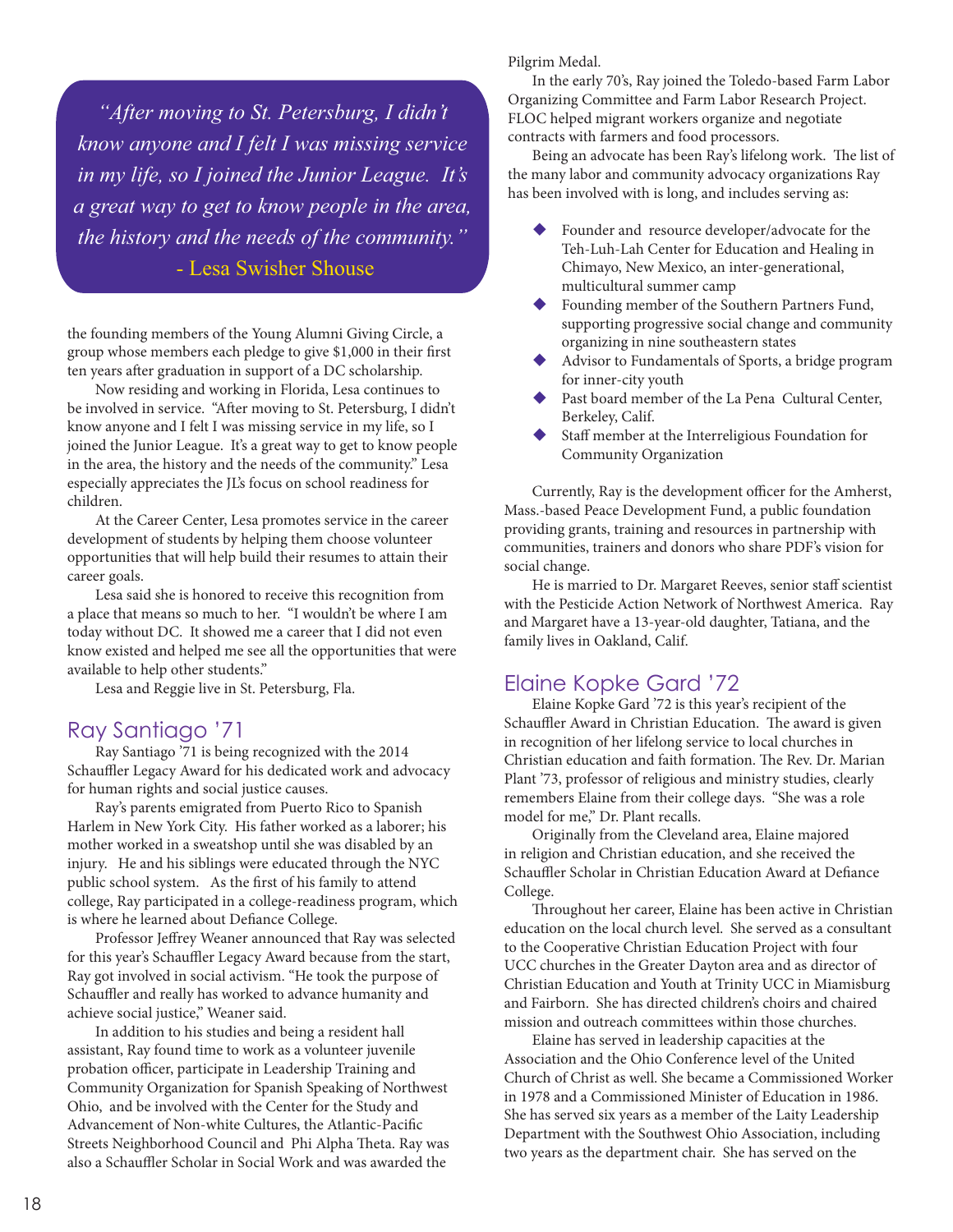*alter moving to St. Petersburg, I didn't know anyone and I felt I was missing service in my life, so I joined the Junior League. It's a* great way to get to know people in the area, *the history and the needs of the community.*" - Lesa Swisher Shouse

the founding members of the Young Alumni Giving Circle, a group whose members each pledge to give \$1,000 in their first ten years after graduation in support of a DC scholarship.

Now residing and working in Florida, Lesa continues to be involved in service. "After moving to St. Petersburg, I didn't know anyone and I felt I was missing service in my life, so I joined the Junior League. It's a great way to get to know people in the area, the history and the needs of the community." Lesa especially appreciates the JL's focus on school readiness for children.

At the Career Center, Lesa promotes service in the career development of students by helping them choose volunteer opportunities that will help build their resumes to attain their career goals.

Lesa said she is honored to receive this recognition from a place that means so much to her. "I wouldn't be where I am today without DC. It showed me a career that I did not even know existed and helped me see all the opportunities that were available to help other students."

Lesa and Reggie live in St. Petersburg, Fla.

### Ray Santiago '71

Ray Santiago '71 is being recognized with the 2014 Schauffler Legacy Award for his dedicated work and advocacy for human rights and social justice causes.

Ray's parents emigrated from Puerto Rico to Spanish Harlem in New York City. His father worked as a laborer; his mother worked in a sweatshop until she was disabled by an injury. He and his siblings were educated through the NYC public school system. As the first of his family to attend college, Ray participated in a college-readiness program, which is where he learned about Defiance College.

Professor Jeffrey Weaner announced that Ray was selected for this year's Schauffler Legacy Award because from the start, Ray got involved in social activism. "He took the purpose of Schauffler and really has worked to advance humanity and achieve social justice," Weaner said.

In addition to his studies and being a resident hall assistant, Ray found time to work as a volunteer juvenile probation officer, participate in Leadership Training and Community Organization for Spanish Speaking of Northwest Ohio, and be involved with the Center for the Study and Advancement of Non-white Cultures, the Atlantic-Pacific Streets Neighborhood Council and Phi Alpha Theta. Ray was also a Schauffler Scholar in Social Work and was awarded the

Pilgrim Medal.

In the early 70's, Ray joined the Toledo-based Farm Labor Organizing Committee and Farm Labor Research Project. FLOC helped migrant workers organize and negotiate contracts with farmers and food processors.

Being an advocate has been Ray's lifelong work. The list of the many labor and community advocacy organizations Ray has been involved with is long, and includes serving as:

- Founder and resource developer/advocate for the Teh-Luh-Lah Center for Education and Healing in Chimayo, New Mexico, an inter-generational, multicultural summer camp
- Founding member of the Southern Partners Fund, supporting progressive social change and community organizing in nine southeastern states
- Advisor to Fundamentals of Sports, a bridge program for inner-city youth
- Past board member of the La Pena Cultural Center, Berkeley, Calif.
- Staff member at the Interreligious Foundation for Community Organization

Currently, Ray is the development officer for the Amherst, Mass.-based Peace Development Fund, a public foundation providing grants, training and resources in partnership with communities, trainers and donors who share PDF's vision for social change.

He is married to Dr. Margaret Reeves, senior staff scientist with the Pesticide Action Network of Northwest America. Ray and Margaret have a 13-year-old daughter, Tatiana, and the family lives in Oakland, Calif.

### Elaine Kopke Gard '72

Elaine Kopke Gard '72 is this year's recipient of the Schauffler Award in Christian Education. The award is given in recognition of her lifelong service to local churches in Christian education and faith formation. The Rev. Dr. Marian Plant '73, professor of religious and ministry studies, clearly remembers Elaine from their college days. "She was a role model for me," Dr. Plant recalls.

Originally from the Cleveland area, Elaine majored in religion and Christian education, and she received the Schauffler Scholar in Christian Education Award at Defiance College.

Throughout her career, Elaine has been active in Christian education on the local church level. She served as a consultant to the Cooperative Christian Education Project with four UCC churches in the Greater Dayton area and as director of Christian Education and Youth at Trinity UCC in Miamisburg and Fairborn. She has directed children's choirs and chaired mission and outreach committees within those churches.

Elaine has served in leadership capacities at the Association and the Ohio Conference level of the United Church of Christ as well. She became a Commissioned Worker in 1978 and a Commissioned Minister of Education in 1986. She has served six years as a member of the Laity Leadership Department with the Southwest Ohio Association, including two years as the department chair. She has served on the